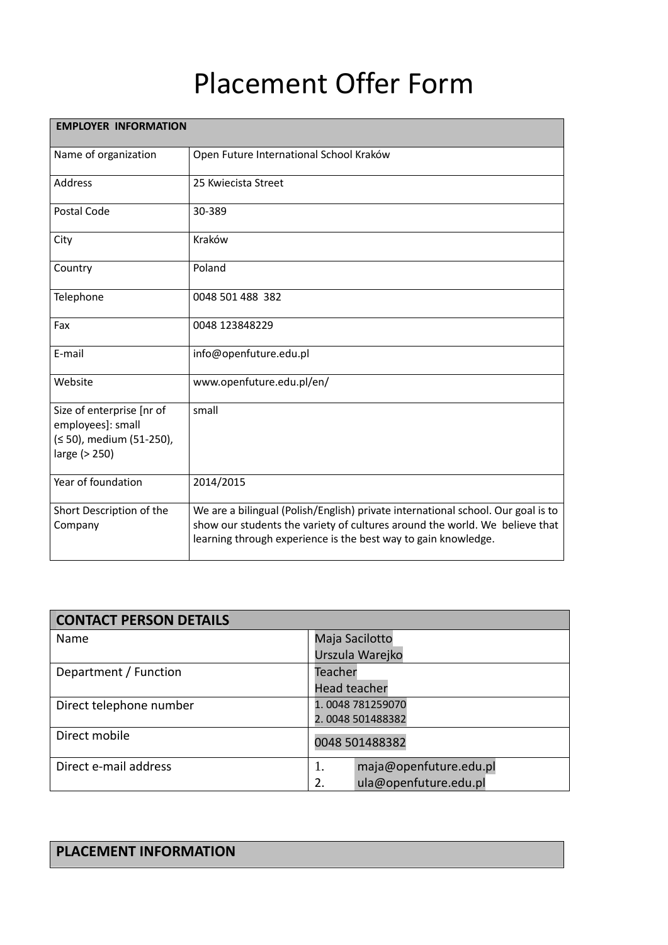## Placement Offer Form

| <b>EMPLOYER INFORMATION</b>                                                                 |                                                                                                                                               |  |
|---------------------------------------------------------------------------------------------|-----------------------------------------------------------------------------------------------------------------------------------------------|--|
| Name of organization                                                                        | Open Future International School Kraków                                                                                                       |  |
| Address                                                                                     | 25 Kwiecista Street                                                                                                                           |  |
| Postal Code                                                                                 | 30-389                                                                                                                                        |  |
| City                                                                                        | Kraków                                                                                                                                        |  |
| Country                                                                                     | Poland                                                                                                                                        |  |
| Telephone                                                                                   | 0048 501 488 382                                                                                                                              |  |
| Fax                                                                                         | 0048 123848229                                                                                                                                |  |
| E-mail                                                                                      | info@openfuture.edu.pl                                                                                                                        |  |
| Website                                                                                     | www.openfuture.edu.pl/en/                                                                                                                     |  |
| Size of enterprise [nr of<br>employees]: small<br>(≤ 50), medium (51-250),<br>large (> 250) | small                                                                                                                                         |  |
| Year of foundation                                                                          | 2014/2015                                                                                                                                     |  |
| Short Description of the                                                                    | We are a bilingual (Polish/English) private international school. Our goal is to                                                              |  |
| Company                                                                                     | show our students the variety of cultures around the world. We believe that<br>learning through experience is the best way to gain knowledge. |  |

| <b>CONTACT PERSON DETAILS</b> |                              |  |
|-------------------------------|------------------------------|--|
| Name                          | Maja Sacilotto               |  |
|                               | Urszula Warejko              |  |
| Department / Function         | Teacher                      |  |
|                               | <b>Head teacher</b>          |  |
| Direct telephone number       | 1.0048 781259070             |  |
|                               | 2.0048 501488382             |  |
| Direct mobile                 | 0048 501488382               |  |
| Direct e-mail address         | maja@openfuture.edu.pl<br>1. |  |
|                               | ula@openfuture.edu.pl<br>2.  |  |

## **PLACEMENT INFORMATION**